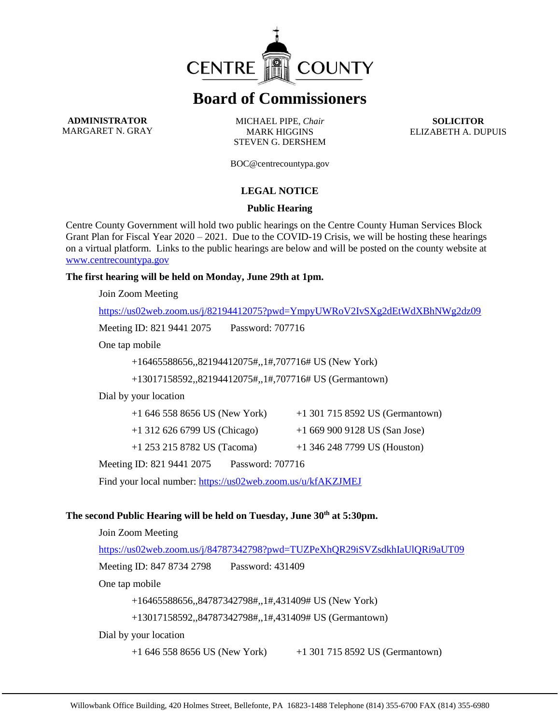

# **Board of Commissioners**

**ADMINISTRATOR** MARGARET N. GRAY

MICHAEL PIPE, *Chair* MARK HIGGINS STEVEN G. DERSHEM

**SOLICITOR** ELIZABETH A. DUPUIS

BOC@centrecountypa.gov

## **LEGAL NOTICE**

#### **Public Hearing**

Centre County Government will hold two public hearings on the Centre County Human Services Block Grant Plan for Fiscal Year 2020 – 2021. Due to the COVID-19 Crisis, we will be hosting these hearings on a virtual platform. Links to the public hearings are below and will be posted on the county website at [www.centrecountypa.gov](http://www.centrecountypa.gov/)

### **The first hearing will be held on Monday, June 29th at 1pm.**

Join Zoom Meeting

<https://us02web.zoom.us/j/82194412075?pwd=YmpyUWRoV2IvSXg2dEtWdXBhNWg2dz09>

Meeting ID: 821 9441 2075 Password: 707716

One tap mobile

+16465588656,,82194412075#,,1#,707716# US (New York)

+13017158592,,82194412075#,,1#,707716# US (Germantown)

Dial by your location

| $+16465588656$ US (New York)   | $+1$ 301 715 8592 US (Germantown) |
|--------------------------------|-----------------------------------|
| $+1$ 312 626 6799 US (Chicago) | $+16699009128$ US (San Jose)      |
| $+1$ 253 215 8782 US (Tacoma)  | $+1$ 346 248 7799 US (Houston)    |

Meeting ID: 821 9441 2075 Password: 707716

Find your local number:<https://us02web.zoom.us/u/kfAKZJMEJ>

## **The second Public Hearing will be held on Tuesday, June 30th at 5:30pm.**

Join Zoom Meeting

<https://us02web.zoom.us/j/84787342798?pwd=TUZPeXhQR29iSVZsdkhIaUlQRi9aUT09>

Meeting ID: 847 8734 2798 Password: 431409

One tap mobile

+16465588656,,84787342798#,,1#,431409# US (New York)

+13017158592,,84787342798#,,1#,431409# US (Germantown)

Dial by your location

+1 646 558 8656 US (New York) +1 301 715 8592 US (Germantown)